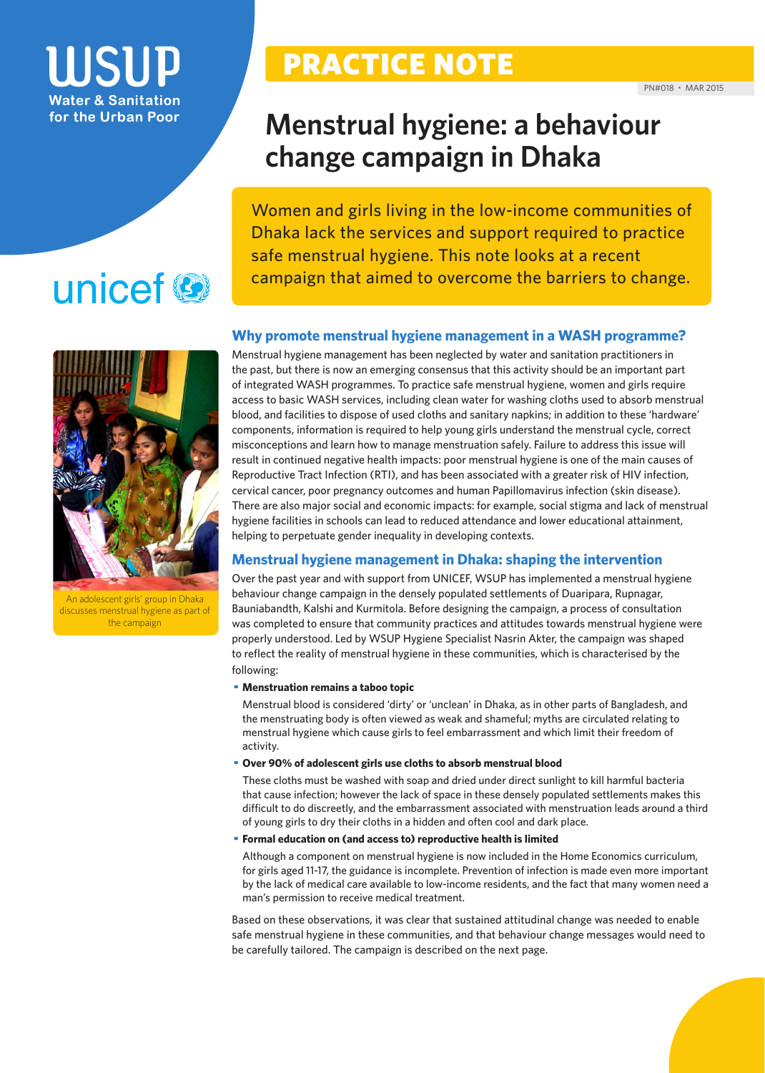### IISI **Water & Sanitation** for the Urban Poor





An adolescent girls' group in Dhaka discusses menstrual hygiene as part of the campaign

# PRACTICE NOTE

## **Menstrual hygiene: a behaviour change campaign in Dhaka**

Women and girls living in the low-income communities of Dhaka lack the services and support required to practice safe menstrual hygiene. This note looks at a recent campaign that aimed to overcome the barriers to change.

### **Why promote menstrual hygiene management in a WASH programme?**

Menstrual hygiene management has been neglected by water and sanitation practitioners in the past, but there is now an emerging consensus that this activity should be an important part of integrated WASH programmes. To practice safe menstrual hygiene, women and girls require access to basic WASH services, including clean water for washing cloths used to absorb menstrual blood, and facilities to dispose of used cloths and sanitary napkins; in addition to these 'hardware' components, information is required to help young girls understand the menstrual cycle, correct misconceptions and learn how to manage menstruation safely. Failure to address this issue will result in continued negative health impacts: poor menstrual hygiene is one of the main causes of Reproductive Tract Infection (RTI), and has been associated with a greater risk of HIV infection, cervical cancer, poor pregnancy outcomes and human Papillomavirus infection (skin disease). There are also major social and economic impacts: for example, social stigma and lack of menstrual hygiene facilities in schools can lead to reduced attendance and lower educational attainment, helping to perpetuate gender inequality in developing contexts.

### **Menstrual hygiene management in Dhaka: shaping the intervention**

Over the past year and with support from UNICEF, WSUP has implemented a menstrual hygiene behaviour change campaign in the densely populated settlements of Duaripara, Rupnagar, Bauniabandth, Kalshi and Kurmitola. Before designing the campaign, a process of consultation was completed to ensure that community practices and attitudes towards menstrual hygiene were properly understood. Led by WSUP Hygiene Specialist Nasrin Akter, the campaign was shaped to reflect the reality of menstrual hygiene in these communities, which is characterised by the following:

#### · **Menstruation remains a taboo topic**

Menstrual blood is considered 'dirty' or 'unclean' in Dhaka, as in other parts of Bangladesh, and the menstruating body is often viewed as weak and shameful; myths are circulated relating to menstrual hygiene which cause girls to feel embarrassment and which limit their freedom of activity.

· **Over 90% of adolescent girls use cloths to absorb menstrual blood**

These cloths must be washed with soap and dried under direct sunlight to kill harmful bacteria that cause infection; however the lack of space in these densely populated settlements makes this difficult to do discreetly, and the embarrassment associated with menstruation leads around a third of young girls to dry their cloths in a hidden and often cool and dark place.

#### · **Formal education on (and access to) reproductive health is limited**

Although a component on menstrual hygiene is now included in the Home Economics curriculum, for girls aged 11-17, the guidance is incomplete. Prevention of infection is made even more important by the lack of medical care available to low-income residents, and the fact that many women need a man's permission to receive medical treatment.

Based on these observations, it was clear that sustained attitudinal change was needed to enable safe menstrual hygiene in these communities, and that behaviour change messages would need to be carefully tailored. The campaign is described on the next page.